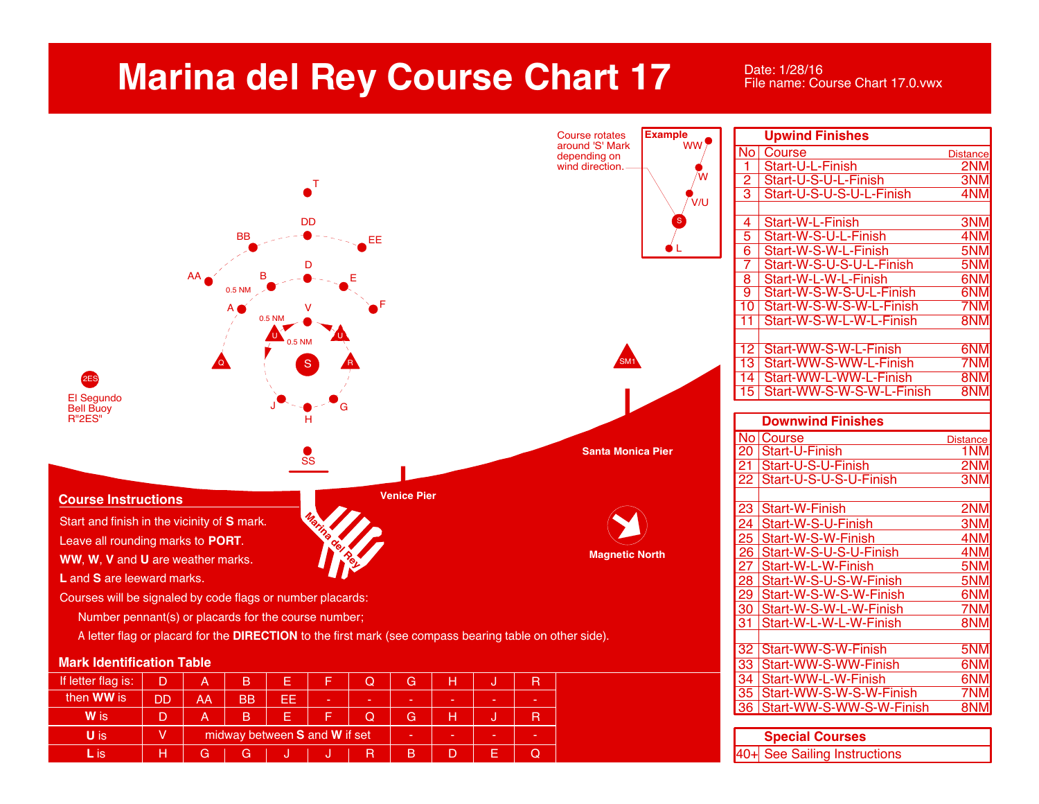## **Marina del Rey Course Chart 17**

Date: 1/28/16 File name: Course Chart 17.0.vwx